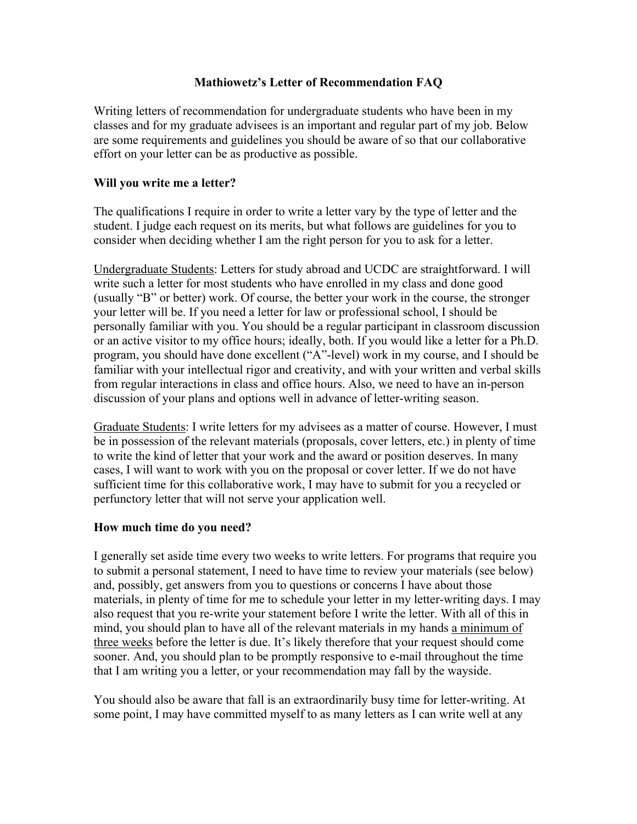## **Mathiowetz's Letter of Recommendation FAQ**

Writing letters of recommendation for undergraduate students who have been in my classes and for my graduate advisees is an important and regular part of my job. Below are some requirements and guidelines you should be aware of so that our collaborative effort on your letter can be as productive as possible.

## **Will you write me a letter?**

The qualifications I require in order to write a letter vary by the type of letter and the student. I judge each request on its merits, but what follows are guidelines for you to consider when deciding whether I am the right person for you to ask for a letter.

Undergraduate Students: Letters for study abroad and UCDC are straightforward. I will write such a letter for most students who have enrolled in my class and done good (usually "B" or better) work. Of course, the better your work in the course, the stronger your letter will be. If you need a letter for law or professional school, I should be personally familiar with you. You should be a regular participant in classroom discussion or an active visitor to my office hours; ideally, both. If you would like a letter for a Ph.D. program, you should have done excellent ("A"-level) work in my course, and I should be familiar with your intellectual rigor and creativity, and with your written and verbal skills from regular interactions in class and office hours. Also, we need to have an in-person discussion of your plans and options well in advance of letter-writing season.

Graduate Students: I write letters for my advisees as a matter of course. However, I must be in possession of the relevant materials (proposals, cover letters, etc.) in plenty of time to write the kind of letter that your work and the award or position deserves. In many cases, I will want to work with you on the proposal or cover letter. If we do not have sufficient time for this collaborative work, I may have to submit for you a recycled or perfunctory letter that will not serve your application well.

## **How much time do you need?**

I generally set aside time every two weeks to write letters. For programs that require you to submit a personal statement, I need to have time to review your materials (see below) and, possibly, get answers from you to questions or concerns I have about those materials, in plenty of time for me to schedule your letter in my letter-writing days. I may also request that you re-write your statement before I write the letter. With all of this in mind, you should plan to have all of the relevant materials in my hands a minimum of three weeks before the letter is due. It's likely therefore that your request should come sooner. And, you should plan to be promptly responsive to e-mail throughout the time that I am writing you a letter, or your recommendation may fall by the wayside.

You should also be aware that fall is an extraordinarily busy time for letter-writing. At some point, I may have committed myself to as many letters as I can write well at any